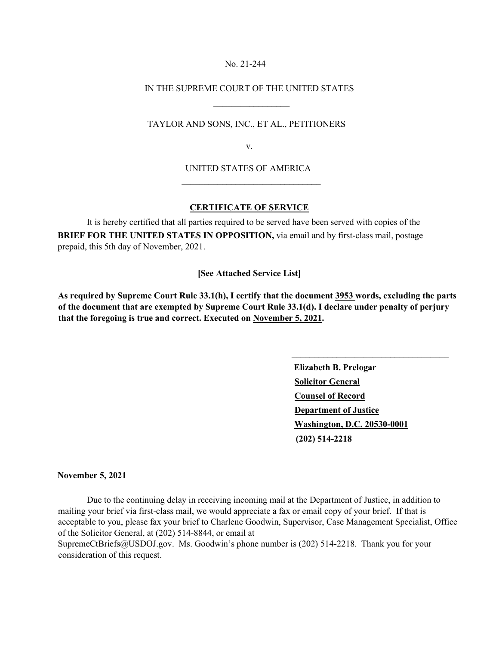### No. 21-244

## IN THE SUPREME COURT OF THE UNITED STATES

TAYLOR AND SONS, INC., ET AL., PETITIONERS

 $\frac{1}{2}$  , and the set of the set of the set of the set of the set of the set of the set of the set of the set of the set of the set of the set of the set of the set of the set of the set of the set of the set of the set

 $\mathcal{L}_\text{max}$  and  $\mathcal{L}_\text{max}$  and  $\mathcal{L}_\text{max}$  are the set of  $\mathcal{L}_\text{max}$ 

v.

## UNITED STATES OF AMERICA

# **CERTIFICATE OF SERVICE**

 It is hereby certified that all parties required to be served have been served with copies of the **BRIEF FOR THE UNITED STATES IN OPPOSITION,** via email and by first-class mail, postage prepaid, this 5th day of November, 2021.

## **[See Attached Service List]**

**As required by Supreme Court Rule 33.1(h), I certify that the document 3953 words, excluding the parts of the document that are exempted by Supreme Court Rule 33.1(d). I declare under penalty of perjury that the foregoing is true and correct. Executed on November 5, 2021.** 

> **Elizabeth B. Prelogar Solicitor General Counsel of Record Department of Justice Washington, D.C. 20530-0001 (202) 514-2218**

\_\_\_\_\_\_\_\_\_\_\_\_\_\_\_\_\_\_\_\_\_\_\_\_\_\_\_\_\_\_\_\_\_\_\_

#### **November 5, 2021**

 Due to the continuing delay in receiving incoming mail at the Department of Justice, in addition to mailing your brief via first-class mail, we would appreciate a fax or email copy of your brief. If that is acceptable to you, please fax your brief to Charlene Goodwin, Supervisor, Case Management Specialist, Office of the Solicitor General, at (202) 514-8844, or email at

SupremeCtBriefs@USDOJ.gov. Ms. Goodwin's phone number is (202) 514-2218. Thank you for your consideration of this request.